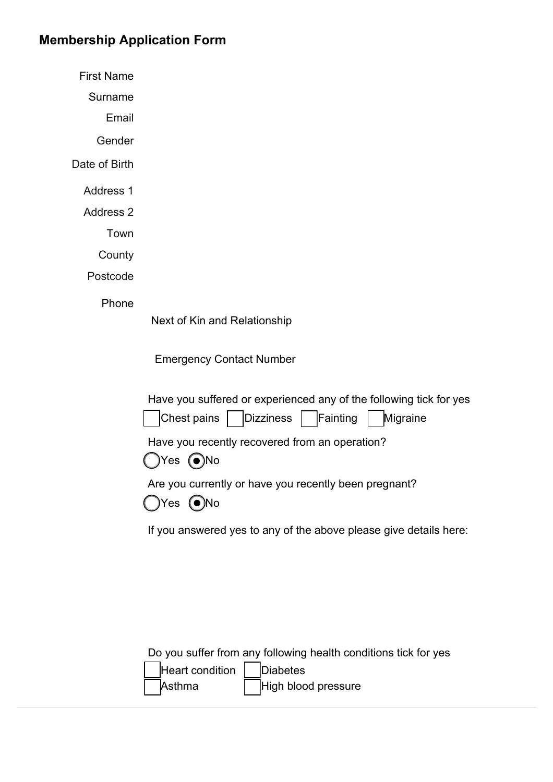## **Membership Application Form**

First Name

Surname

Email

Gender

Date of Birth

Address 1

Address 2

Town

**County** 

Postcode

Phone

Next of Kin and Relationship

Emergency Contact Number

| Have you suffered or experienced any of the following tick for yes             |
|--------------------------------------------------------------------------------|
| Chest pains   Dizziness   Fainting   Migraine                                  |
| Have you recently recovered from an operation?<br>$\bigcirc$ Yes $\bigcirc$ No |
| Are you currently or have you recently been pregnant?<br>$OY$ es $O$ No        |

If you answered yes to any of the above please give details here:

Do you suffer from any following health conditions tick for yes

| Heart condition |
|-----------------|
| Asthma          |

Diabetes High blood pressure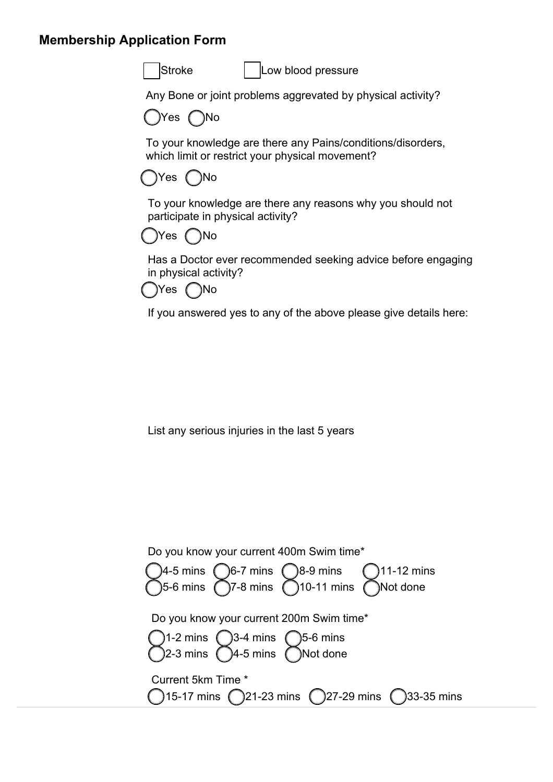## **Membership Application Form**



Stroke | Low blood pressure

Any Bone or joint problems aggrevated by physical activity?



To your knowledge are there any Pains/conditions/disorders, which limit or restrict your physical movement?



To your knowledge are there any reasons why you should not participate in physical activity?



Has a Doctor ever recommended seeking advice before engaging in physical activity?



If you answered yes to any of the above please give details here:

List any serious injuries in the last 5 years

| Do you know your current 400m Swim time*                                                                                                           |
|----------------------------------------------------------------------------------------------------------------------------------------------------|
| 11-12 mins<br>Not done                                                                                                                             |
| Do you know your current 200m Swim time*<br>)1-2 mins $\bigcirc$ 3-4 mins $\bigcirc$ 5-6 mins<br>)2-3 mins $\bigcirc$ 4-5 mins $\bigcirc$ Not done |
| Current 5km Time *<br>$( )15-17$ mins $( )21-23$ mins $( )27-29$ mins $( )33-35$ mins                                                              |